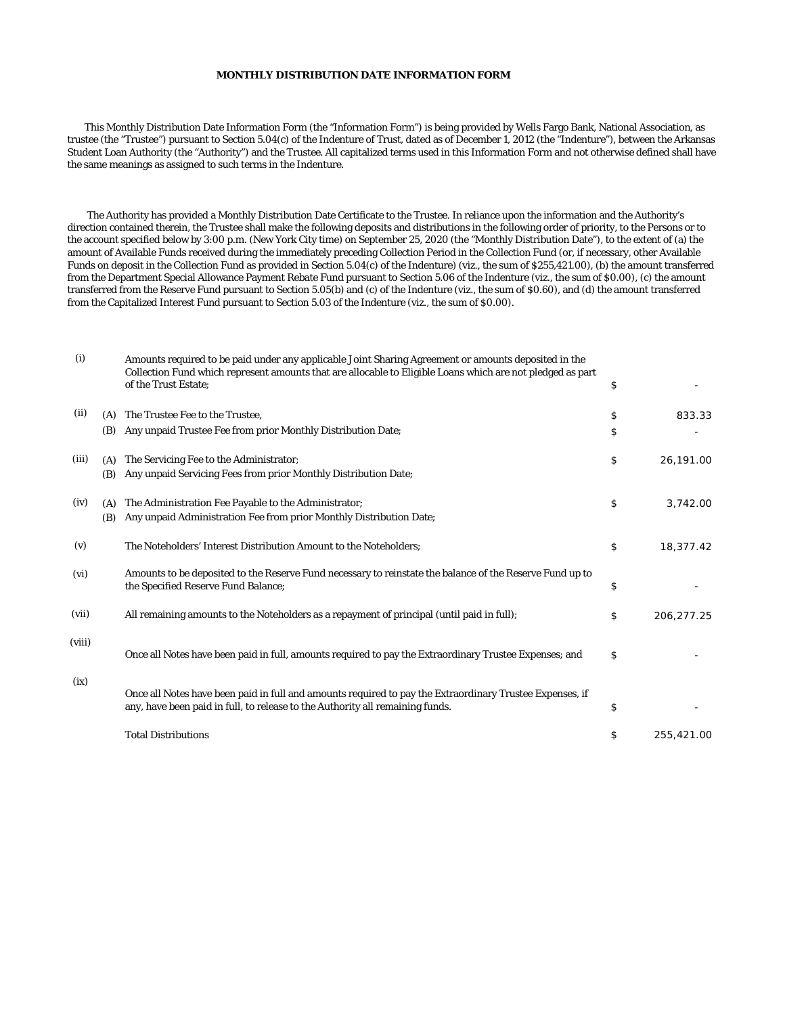## **MONTHLY DISTRIBUTION DATE INFORMATION FORM**

This Monthly Distribution Date Information Form (the "Information Form") is being provided by Wells Fargo Bank, National Association, as trustee (the "Trustee") pursuant to Section 5.04(c) of the Indenture of Trust, dated as of December 1, 2012 (the "Indenture"), between the Arkansas Student Loan Authority (the "Authority") and the Trustee. All capitalized terms used in this Information Form and not otherwise defined shall have the same meanings as assigned to such terms in the Indenture.

The Authority has provided a Monthly Distribution Date Certificate to the Trustee. In reliance upon the information and the Authority's direction contained therein, the Trustee shall make the following deposits and distributions in the following order of priority, to the Persons or to the account specified below by 3:00 p.m. (New York City time) on September 25, 2020 (the "Monthly Distribution Date"), to the extent of (a) the amount of Available Funds received during the immediately preceding Collection Period in the Collection Fund (or, if necessary, other Available Funds on deposit in the Collection Fund as provided in Section 5.04(c) of the Indenture) (viz., the sum of \$255,421.00), (b) the amount transferred from the Department Special Allowance Payment Rebate Fund pursuant to Section 5.06 of the Indenture (viz., the sum of \$0.00), (c) the amount transferred from the Reserve Fund pursuant to Section 5.05(b) and (c) of the Indenture (viz., the sum of \$0.60), and (d) the amount transferred from the Capitalized Interest Fund pursuant to Section 5.03 of the Indenture (viz., the sum of \$0.00).

| (i)    |     | Amounts required to be paid under any applicable Joint Sharing Agreement or amounts deposited in the<br>Collection Fund which represent amounts that are allocable to Eligible Loans which are not pledged as part<br>of the Trust Estate; | \$               |
|--------|-----|--------------------------------------------------------------------------------------------------------------------------------------------------------------------------------------------------------------------------------------------|------------------|
| (ii)   | (A) | The Trustee Fee to the Trustee,                                                                                                                                                                                                            | \$<br>833.33     |
|        | (B) | Any unpaid Trustee Fee from prior Monthly Distribution Date;                                                                                                                                                                               | \$               |
| (iii)  | (A) | The Servicing Fee to the Administrator;                                                                                                                                                                                                    | \$<br>26,191.00  |
|        | (B) | Any unpaid Servicing Fees from prior Monthly Distribution Date;                                                                                                                                                                            |                  |
| (iv)   | (A) | The Administration Fee Payable to the Administrator;                                                                                                                                                                                       | \$<br>3,742.00   |
|        | (B) | Any unpaid Administration Fee from prior Monthly Distribution Date;                                                                                                                                                                        |                  |
| (v)    |     | The Noteholders' Interest Distribution Amount to the Noteholders;                                                                                                                                                                          | \$<br>18,377.42  |
| (vi)   |     | Amounts to be deposited to the Reserve Fund necessary to reinstate the balance of the Reserve Fund up to<br>the Specified Reserve Fund Balance;                                                                                            | \$               |
| (vii)  |     | All remaining amounts to the Noteholders as a repayment of principal (until paid in full);                                                                                                                                                 | \$<br>206,277.25 |
| (viii) |     | Once all Notes have been paid in full, amounts required to pay the Extraordinary Trustee Expenses; and                                                                                                                                     | \$               |
| (ix)   |     | Once all Notes have been paid in full and amounts required to pay the Extraordinary Trustee Expenses, if<br>any, have been paid in full, to release to the Authority all remaining funds.                                                  | \$               |
|        |     | <b>Total Distributions</b>                                                                                                                                                                                                                 | \$<br>255,421.00 |